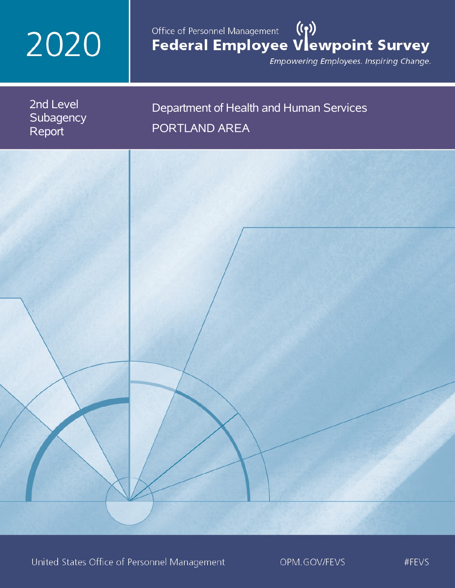# 2020

# Office of Personnel Management (())<br>Federal Employee Vlewpoint Survey

Empowering Employees. Inspiring Change.

2nd Level **Subagency** Report Department of Health and Human Services PORTLAND AREA

United States Office of Personnel Management

OPM.GOV/FEVS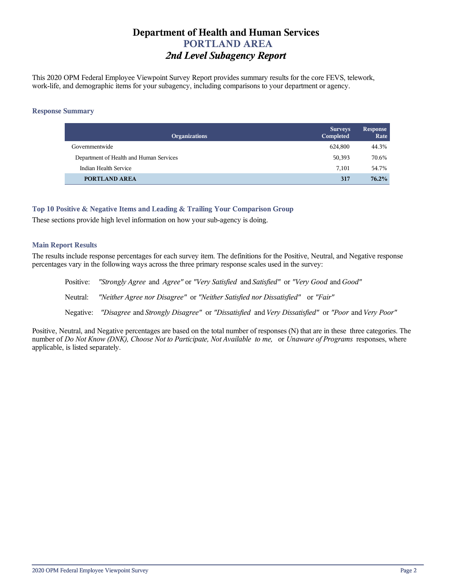# **Department of Health and Human Services PORTLAND AREA** *2nd Level Subagency Report*

This 2020 OPM Federal Employee Viewpoint Survey Report provides summary results for the core FEVS, telework, work-life, and demographic items for your subagency, including comparisons to your department or agency.

## **Response Summary**

| <b>Organizations</b>                    | <b>Surveys</b><br>Completed | <b>Response</b><br>Rate |
|-----------------------------------------|-----------------------------|-------------------------|
| Governmentwide                          | 624.800                     | 44.3%                   |
| Department of Health and Human Services | 50,393                      | 70.6%                   |
| Indian Health Service                   | 7.101                       | 54.7%                   |
| <b>PORTLAND AREA</b>                    | 317                         | 76.2%                   |

# **Top 10 Positive & Negative Items and Leading & Trailing Your Comparison Group**

These sections provide high level information on how your sub-agency is doing.

# **Main Report Results**

The results include response percentages for each survey item. The definitions for the Positive, Neutral, and Negative response percentages vary in the following ways across the three primary response scales used in the survey:

Positive: *"Strongly Agree* and *Agree"* or *"Very Satisfied* and *Satisfied"* or *"Very Good* and *Good"* Neutral: *"Neither Agree nor Disagree"* or *"Neither Satisfied nor Dissatisfied"* or *"Fair"* Negative: *"Disagree* and *Strongly Disagree"* or *"Dissatisfied* and *Very Dissatisfied"* or *"Poor* and *Very Poor"*

Positive, Neutral, and Negative percentages are based on the total number of responses (N) that are in these three categories. The number of *Do Not Know (DNK), Choose Not to Participate, Not Available to me,* or *Unaware of Programs* responses, where applicable, is listed separately.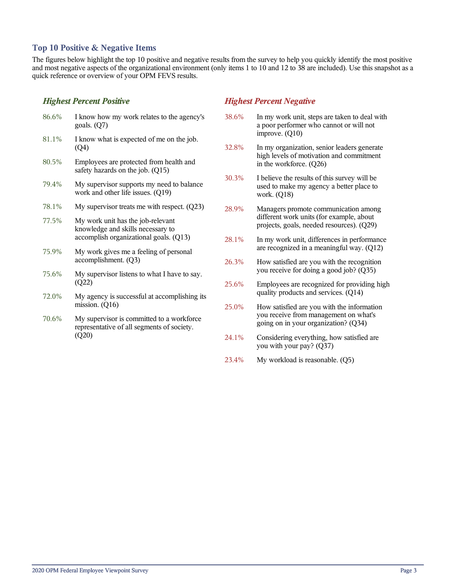# **Top 10 Positive & Negative Items**

The figures below highlight the top 10 positive and negative results from the survey to help you quickly identify the most positive and most negative aspects of the organizational environment (only items 1 to 10 and 12 to 38 are included). Use this snapshot as a quick reference or overview of your OPM FEVS results.

# *Highest Percent Positive*

| 86.6% | I know how my work relates to the agency's<br>goals. $(Q7)$                                                      |
|-------|------------------------------------------------------------------------------------------------------------------|
| 81.1% | I know what is expected of me on the job.<br>(Q4)                                                                |
| 80.5% | Employees are protected from health and<br>safety hazards on the job. (Q15)                                      |
| 79.4% | My supervisor supports my need to balance<br>work and other life issues. (Q19)                                   |
| 78.1% | My supervisor treats me with respect. $(Q23)$                                                                    |
| 77.5% | My work unit has the job-relevant<br>knowledge and skills necessary to<br>accomplish organizational goals. (Q13) |
| 75.9% | My work gives me a feeling of personal<br>accomplishment. (O3)                                                   |
| 75.6% | My supervisor listens to what I have to say.<br>(Q22)                                                            |
| 72.0% | My agency is successful at accomplishing its<br>mission. $(Q16)$                                                 |
| 70.6% | My supervisor is committed to a workforce<br>representative of all segments of society.<br>(Q20)                 |

# *Highest Percent Negative*

- 38.6% In my work unit, steps are taken to deal with a poor performer who cannot or will not improve. (Q10)
- 32.8% In my organization, senior leaders generate high levels of motivation and commitment in the workforce. (Q26)
- 30.3% I believe the results of this survey will be used to make my agency a better place to work. (Q18)
- 28.9% Managers promote communication among different work units (for example, about projects, goals, needed resources). (Q29)
- 28.1% In my work unit, differences in performance are recognized in a meaningful way. (Q12)
- 26.3% How satisfied are you with the recognition you receive for doing a good job? (Q35)
- 25.6% Employees are recognized for providing high quality products and services. (Q14)
- 25.0% How satisfied are you with the information you receive from management on what's going on in your organization? (Q34)
- 24.1% Considering everything, how satisfied are you with your pay? (Q37)
- 23.4% My workload is reasonable. (Q5)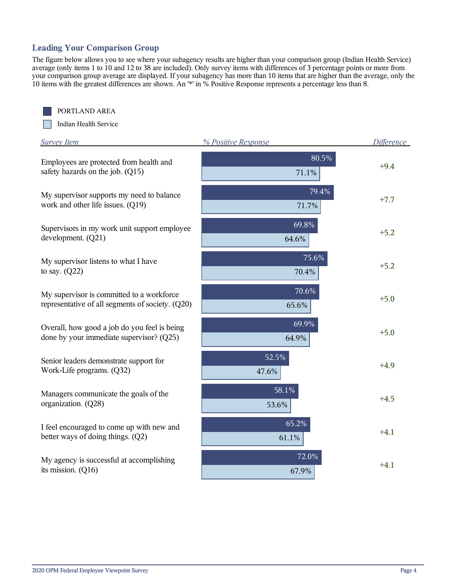# **Leading Your Comparison Group**

The figure below allows you to see where your subagency results are higher than your comparison group (Indian Health Service) average (only items 1 to 10 and 12 to 38 are included). Only survey items with differences of 3 percentage points or more from your comparison group average are displayed. If your subagency has more than 10 items that are higher than the average, only the 10 items with the greatest differences are shown. An '\*' in % Positive Response represents a percentage less than 8.



PORTLAND AREA

Indian Health Service

| <b>Survey Item</b>                                                                            | % Positive Response | Difference |
|-----------------------------------------------------------------------------------------------|---------------------|------------|
| Employees are protected from health and<br>safety hazards on the job. (Q15)                   | 80.5%<br>71.1%      | $+9.4$     |
| My supervisor supports my need to balance<br>work and other life issues. (Q19)                | 79.4%<br>71.7%      | $+7.7$     |
| Supervisors in my work unit support employee<br>development. (Q21)                            | 69.8%<br>64.6%      | $+5.2$     |
| My supervisor listens to what I have<br>to say. $(Q22)$                                       | 75.6%<br>70.4%      | $+5.2$     |
| My supervisor is committed to a workforce<br>representative of all segments of society. (Q20) | 70.6%<br>65.6%      | $+5.0$     |
| Overall, how good a job do you feel is being<br>done by your immediate supervisor? (Q25)      | 69.9%<br>64.9%      | $+5.0$     |
| Senior leaders demonstrate support for<br>Work-Life programs. (Q32)                           | 52.5%<br>47.6%      | $+4.9$     |
| Managers communicate the goals of the<br>organization. (Q28)                                  | 58.1%<br>53.6%      | $+4.5$     |
| I feel encouraged to come up with new and<br>better ways of doing things. (Q2)                | 65.2%<br>61.1%      | $+4.1$     |
| My agency is successful at accomplishing<br>its mission. $(Q16)$                              | 72.0%<br>67.9%      | $+4.1$     |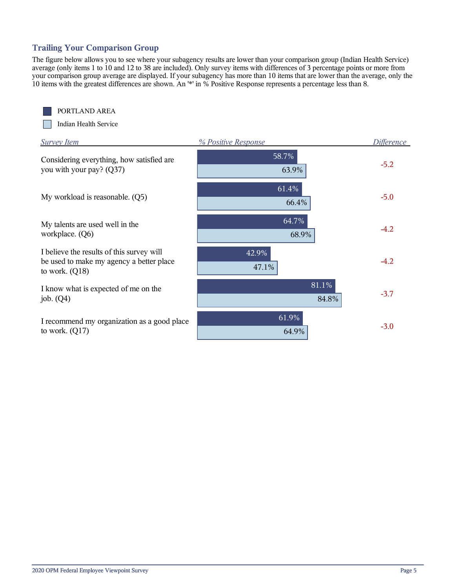# **Trailing Your Comparison Group**

The figure below allows you to see where your subagency results are lower than your comparison group (Indian Health Service) average (only items 1 to 10 and 12 to 38 are included). Only survey items with differences of 3 percentage points or more from your comparison group average are displayed. If your subagency has more than 10 items that are lower than the average, only the 10 items with the greatest differences are shown. An '\*' in % Positive Response represents a percentage less than 8.



PORTLAND AREA

Indian Health Service

| <b>Survey Item</b>                                                                                        | % Positive Response | <b>Difference</b> |
|-----------------------------------------------------------------------------------------------------------|---------------------|-------------------|
| Considering everything, how satisfied are<br>you with your pay? (Q37)                                     | 58.7%<br>63.9%      | $-5.2$            |
| My workload is reasonable. (Q5)                                                                           | 61.4%<br>66.4%      | $-5.0$            |
| My talents are used well in the<br>workplace. (Q6)                                                        | 64.7%<br>68.9%      | $-4.2$            |
| I believe the results of this survey will<br>be used to make my agency a better place<br>to work. $(Q18)$ | 42.9%<br>47.1%      | $-4.2$            |
| I know what is expected of me on the<br>job. $(Q4)$                                                       | 81.1%<br>84.8%      | $-3.7$            |
| I recommend my organization as a good place<br>to work. $(Q17)$                                           | 61.9%<br>64.9%      | $-3.0$            |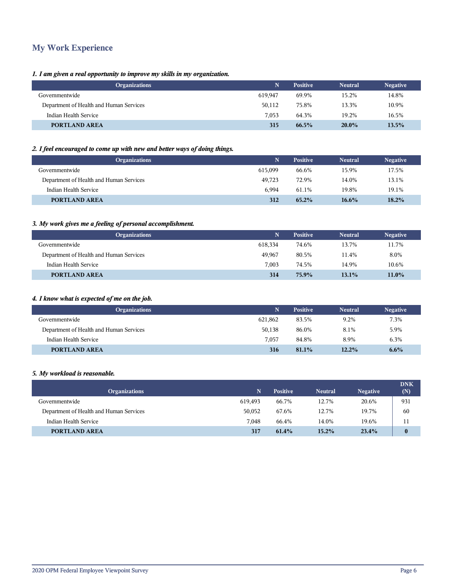# **My Work Experience**

Г

I

# *1. I am given a real opportunity to improve my skills in my organization.*

| <b>Organizations</b>                    |         | <b>Positive</b> | <b>Neutral</b> | <b>Negative</b> |
|-----------------------------------------|---------|-----------------|----------------|-----------------|
| Governmentwide                          | 619.947 | 69.9%           | 15.2%          | 14.8%           |
| Department of Health and Human Services | 50,112  | 75.8%           | 13.3%          | 10.9%           |
| Indian Health Service                   | 7.053   | 64.3%           | 19.2%          | 16.5%           |
| PORTLAND AREA                           | 315     | 66.5%           | $20.0\%$       | 13.5%           |
|                                         |         |                 |                |                 |

### *2. I feel encouraged to come up with new and better ways of doing things.*

| <b>Organizations</b>                    | N       | <b>Positive</b> | <b>Neutral</b> | <b>Negative</b> |
|-----------------------------------------|---------|-----------------|----------------|-----------------|
| Governmentwide                          | 615.099 | 66.6%           | 15.9%          | 17.5%           |
| Department of Health and Human Services | 49,723  | 72.9%           | 14.0%          | 13.1%           |
| Indian Health Service                   | 6.994   | 61.1%           | 19.8%          | 19.1%           |
| <b>PORTLAND AREA</b>                    | 312     | $65.2\%$        | $16.6\%$       | 18.2%           |

# *3. My work gives me a feeling of personal accomplishment.*

| <b>Organizations</b>                    | Ñ       | <b>Positive</b> | <b>Neutral</b> | <b>Negative</b> |
|-----------------------------------------|---------|-----------------|----------------|-----------------|
| Governmentwide                          | 618.334 | 74.6%           | 13.7%          | 11.7%           |
| Department of Health and Human Services | 49.967  | 80.5%           | 11.4%          | 8.0%            |
| Indian Health Service                   | 7.003   | 74.5%           | 14.9%          | 10.6%           |
| PORTLAND AREA                           | 314     | 75.9%           | $13.1\%$       | $11.0\%$        |

# *4. I know what is expected of me on the job.*

| <b>Organizations</b>                    |         | <b>Positive</b> | <b>Neutral</b> | <b>Negative</b> |
|-----------------------------------------|---------|-----------------|----------------|-----------------|
| Governmentwide                          | 621.862 | 83.5%           | 9.2%           | 7.3%            |
| Department of Health and Human Services | 50,138  | 86.0%           | 8.1%           | 5.9%            |
| Indian Health Service                   | 7.057   | 84.8%           | 8.9%           | 6.3%            |
| PORTLAND AREA                           | 316     | $81.1\%$        | 12.2%          | 6.6%            |

## *5. My workload is reasonable.*

| <b>Organizations</b>                    | N       | <b>Positive</b> | <b>Neutral</b> | <b>Negative</b> | <b>DNK</b><br>(N) |
|-----------------------------------------|---------|-----------------|----------------|-----------------|-------------------|
| Governmentwide                          | 619.493 | 66.7%           | 12.7%          | 20.6%           | 931               |
| Department of Health and Human Services | 50,052  | 67.6%           | 12.7%          | 19.7%           | 60                |
| Indian Health Service                   | 7.048   | 66.4%           | 14.0%          | 19.6%           | 11                |
| <b>PORTLAND AREA</b>                    | 317     | $61.4\%$        | $15.2\%$       | 23.4%           | $\bf{0}$          |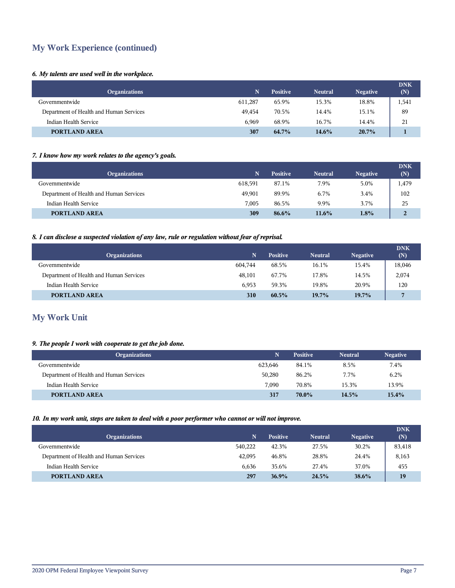# **My Work Experience (continued)**

# *6. My talents are used well in the workplace.*

| <b>Organizations</b>                    |         | <b>Positive</b> | <b>Neutral</b> | <b>Negative</b> | <b>DNK</b><br>(N) |
|-----------------------------------------|---------|-----------------|----------------|-----------------|-------------------|
| Governmentwide                          | 611,287 | 65.9%           | 15.3%          | 18.8%           | 1,541             |
| Department of Health and Human Services | 49.454  | 70.5%           | 14.4%          | 15.1%           | 89                |
| Indian Health Service                   | 6.969   | 68.9%           | 16.7%          | 14.4%           | 21                |
| PORTLAND AREA                           | 307     | 64.7%           | 14.6%          | 20.7%           |                   |

# *7. I know how my work relates to the agency's goals.*

| <b>Organizations</b>                    | 'N.     | <b>Positive</b> | <b>Neutral</b> | <b>Negative</b> | <b>DNK</b><br>(N) |
|-----------------------------------------|---------|-----------------|----------------|-----------------|-------------------|
| Governmentwide                          | 618,591 | 87.1%           | 7.9%           | 5.0%            | 1,479             |
| Department of Health and Human Services | 49.901  | 89.9%           | 6.7%           | 3.4%            | 102               |
| Indian Health Service                   | 7.005   | 86.5%           | 9.9%           | 3.7%            | 25                |
| <b>PORTLAND AREA</b>                    | 309     | $86.6\%$        | $11.6\%$       | $1.8\%$         | $\overline{2}$    |

## *8. I can disclose a suspected violation of any law, rule or regulation without fear of reprisal.*

| <b>Organizations</b>                    |         | <b>Positive</b> | <b>Neutral</b> | <b>Negative</b> | <b>DNK</b><br>(N) |
|-----------------------------------------|---------|-----------------|----------------|-----------------|-------------------|
| Governmentwide                          | 604,744 | 68.5%           | 16.1%          | 15.4%           | 18,046            |
| Department of Health and Human Services | 48,101  | 67.7%           | 17.8%          | 14.5%           | 2,074             |
| Indian Health Service                   | 6.953   | 59.3%           | 19.8%          | 20.9%           | 120               |
| PORTLAND AREA                           | 310     | $60.5\%$        | $19.7\%$       | $19.7\%$        |                   |

# **My Work Unit**

# *9. The people I work with cooperate to get the job done.*

| <b>Organizations</b>                    | Ñ       | <b>Positive</b> | <b>Neutral</b> | <b>Negative</b> |
|-----------------------------------------|---------|-----------------|----------------|-----------------|
| Governmentwide                          | 623.646 | 84.1%           | 8.5%           | 7.4%            |
| Department of Health and Human Services | 50,280  | 86.2%           | 7.7%           | 6.2%            |
| Indian Health Service                   | 7.090   | 70.8%           | 15.3%          | 13.9%           |
| PORTLAND AREA                           | 317     | 70.0%           | 14.5%          | $15.4\%$        |

## *10. In my work unit, steps are taken to deal with a poor performer who cannot or will not improve.*

| <b>Organizations</b>                    | N       | <b>Positive</b> | <b>Neutral</b> | <b>Negative</b> | <b>DNK</b><br>(N) |
|-----------------------------------------|---------|-----------------|----------------|-----------------|-------------------|
| Governmentwide                          | 540.222 | 42.3%           | 27.5%          | 30.2%           | 83,418            |
| Department of Health and Human Services | 42,095  | 46.8%           | 28.8%          | 24.4%           | 8,163             |
| Indian Health Service                   | 6.636   | 35.6%           | 27.4%          | 37.0%           | 455               |
| PORTLAND AREA                           | 297     | 36.9%           | 24.5%          | $38.6\%$        | 19                |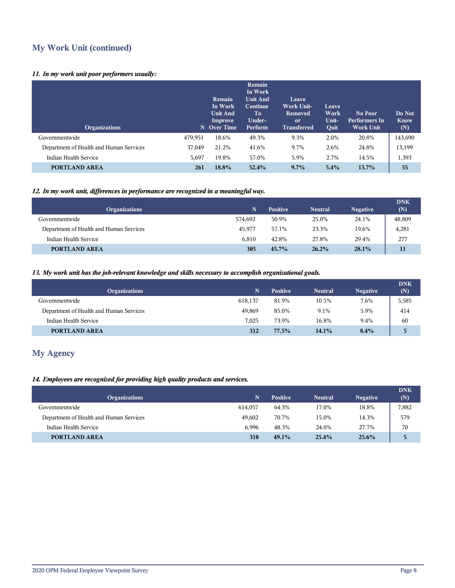# **My Work Unit (continued)**

# *11. In my work unit poor performers usually:*

| <b>Organizations</b>                    |         | Remain<br>In Work<br><b>Unit And</b><br>Improve<br>N Over Time | Remain<br>In Work<br><b>Unit And</b><br><b>Continue</b><br>Тo<br>Under-<br>Perform | Leave<br><b>Work Unit-</b><br>Removed<br><sub>or</sub><br><b>Transferred</b> | Leave<br>Work<br>Unit-<br>Quit | No Poor<br><b>Performers In</b><br><b>Work Unit</b> | Do Not<br><b>Know</b><br>(N) |
|-----------------------------------------|---------|----------------------------------------------------------------|------------------------------------------------------------------------------------|------------------------------------------------------------------------------|--------------------------------|-----------------------------------------------------|------------------------------|
| Governmentwide                          | 479,951 | 18.6%                                                          | 49.3%                                                                              | 9.3%                                                                         | 2.0%                           | 20.8%                                               | 143,690                      |
| Department of Health and Human Services | 37,049  | 21.2%                                                          | 41.6%                                                                              | 9.7%                                                                         | 2.6%                           | 24.8%                                               | 13,199                       |
| Indian Health Service                   | 5,697   | 19.8%                                                          | 57.0%                                                                              | 5.9%                                                                         | 2.7%                           | 14.5%                                               | 1,393                        |
| PORTLAND AREA                           | 261     | 18.8%                                                          | 52.4%                                                                              | 9.7%                                                                         | 5.4%                           | 13.7%                                               | 55                           |

# *12. In my work unit, differences in performance are recognized in a meaningful way.*

| <b>Organizations</b>                    | N       | <b>Positive</b> | <b>Neutral</b> | <b>Negative</b> | <b>DNK</b><br>(N) |
|-----------------------------------------|---------|-----------------|----------------|-----------------|-------------------|
| Governmentwide                          | 574,692 | 50.9%           | 25.0%          | 24.1%           | 48,809            |
| Department of Health and Human Services | 45.977  | 57.1%           | 23.3%          | 19.6%           | 4,281             |
| Indian Health Service                   | 6.810   | 42.8%           | 27.8%          | 29.4%           | 277               |
| PORTLAND AREA                           | 305     | 45.7%           | 26.2%          | 28.1%           | 11                |

# *13. My work unit has the job-relevant knowledge and skills necessary to accomplish organizational goals.*

| <b>Organizations</b>                    | N       | <b>Positive</b> | <b>Neutral</b> | <b>Negative</b> | <b>DNK</b><br>(N) |
|-----------------------------------------|---------|-----------------|----------------|-----------------|-------------------|
| Governmentwide                          | 618,137 | 81.9%           | 10.5%          | 7.6%            | 5,585             |
| Department of Health and Human Services | 49.869  | 85.0%           | 9.1%           | 5.9%            | 414               |
| Indian Health Service                   | 7.025   | 73.9%           | 16.8%          | 9.4%            | 60                |
| PORTLAND AREA                           | 312     | 77.5%           | 14.1%          | $8.4\%$         | 5                 |

# **My Agency**

# *14. Employees are recognized for providing high quality products and services.*

| <b>Organizations</b>                    | N       | <b>Positive</b> | <b>Neutral</b> | <b>Negative</b> | <b>DNK</b><br>(N) |
|-----------------------------------------|---------|-----------------|----------------|-----------------|-------------------|
| Governmentwide                          | 614.057 | 64.3%           | 17.0%          | 18.8%           | 7,882             |
| Department of Health and Human Services | 49.602  | 70.7%           | 15.0%          | 14.3%           | 579               |
| Indian Health Service                   | 6.996   | 48.3%           | 24.0%          | 27.7%           | 70                |
| <b>PORTLAND AREA</b>                    | 310     | 49.1%           | 25.4%          | $25.6\%$        | 5                 |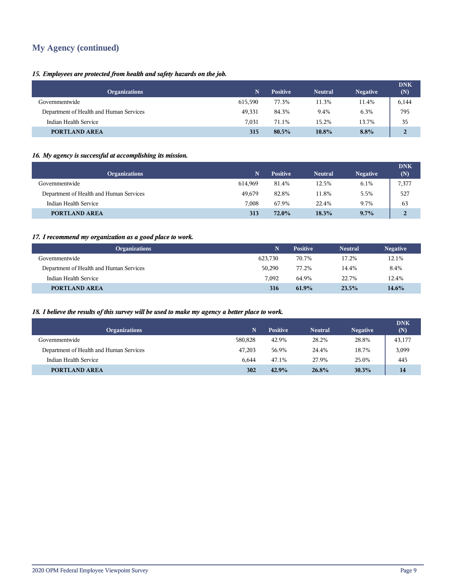# **My Agency (continued)**

# *15. Employees are protected from health and safety hazards on the job.*

| <b>Organizations</b>                    |         | <b>Positive</b> | <b>Neutral</b> | <b>Negative</b> | <b>DNK</b><br>(N) |
|-----------------------------------------|---------|-----------------|----------------|-----------------|-------------------|
| Governmentwide                          | 615.590 | 77.3%           | 11.3%          | 11.4%           | 6,144             |
| Department of Health and Human Services | 49,331  | 84.3%           | 9.4%           | 6.3%            | 795               |
| Indian Health Service                   | 7.031   | 71.1%           | 15.2%          | 13.7%           | 35                |
| <b>PORTLAND AREA</b>                    | 315     | 80.5%           | $10.8\%$       | $8.8\%$         | $\overline{2}$    |

# *16. My agency is successful at accomplishing its mission.*

| <b>Organizations</b>                    | N       | <b>Positive</b> | <b>Neutral</b> | <b>Negative</b> | <b>DNK</b><br>(N) |
|-----------------------------------------|---------|-----------------|----------------|-----------------|-------------------|
| Governmentwide                          | 614.969 | 81.4%           | 12.5%          | 6.1%            | 7,377             |
| Department of Health and Human Services | 49.679  | 82.8%           | 11.8%          | 5.5%            | 527               |
| Indian Health Service                   | 7.008   | 67.9%           | 22.4%          | 9.7%            | 63                |
| PORTLAND AREA                           | 313     | 72.0%           | 18.3%          | 9.7%            |                   |

# *17. I recommend my organization as a good place to work.*

| <b>Organizations</b>                    | N       | <b>Positive</b> | <b>Neutral</b> | <b>Negative</b> |
|-----------------------------------------|---------|-----------------|----------------|-----------------|
| Governmentwide                          | 623.730 | 70.7%           | 17.2%          | 12.1%           |
| Department of Health and Human Services | 50,290  | 77.2%           | 14.4%          | 8.4%            |
| Indian Health Service                   | 7.092   | 64.9%           | 22.7%          | 12.4%           |
| PORTLAND AREA                           | 316     | 61.9%           | 23.5%          | 14.6%           |

# *18. I believe the results of this survey will be used to make my agency a better place to work.*

| <b>Organizations</b>                    | N       | <b>Positive</b> | <b>Neutral</b> | <b>Negative</b> | <b>DNK</b><br>(N) |
|-----------------------------------------|---------|-----------------|----------------|-----------------|-------------------|
| Governmentwide                          | 580.828 | 42.9%           | 28.2%          | 28.8%           | 43,177            |
| Department of Health and Human Services | 47,203  | 56.9%           | 24.4%          | 18.7%           | 3,099             |
| Indian Health Service                   | 6.644   | 47.1%           | 27.9%          | 25.0%           | 445               |
| <b>PORTLAND AREA</b>                    | 302     | 42.9%           | 26.8%          | 30.3%           | 14                |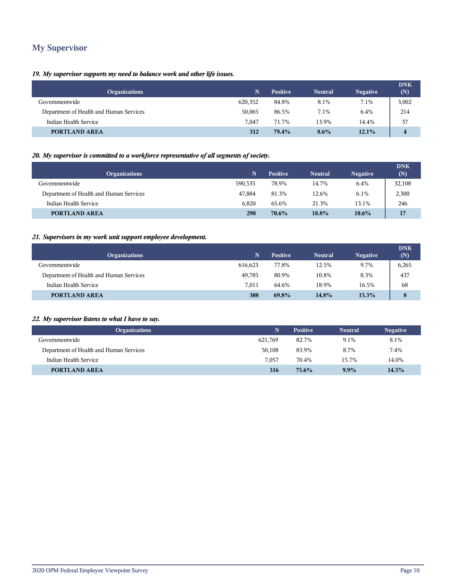# **My Supervisor**

# *19. My supervisor supports my need to balance work and other life issues.*

| <b>Organizations</b>                    | N       | <b>Positive</b> | <b>Neutral</b> | <b>Negative</b> | <b>DNK</b><br>(N)       |
|-----------------------------------------|---------|-----------------|----------------|-----------------|-------------------------|
| Governmentwide                          | 620,352 | 84.8%           | 8.1%           | 7.1%            | 3,002                   |
| Department of Health and Human Services | 50,065  | 86.5%           | 7.1%           | 6.4%            | 214                     |
| Indian Health Service                   | 7.047   | 71.7%           | 13.9%          | 14.4%           | 37                      |
| PORTLAND AREA                           | 312     | 79.4%           | $8.6\%$        | 12.1%           | $\overline{\mathbf{4}}$ |

# *20. My supervisor is committed to a workforce representative of all segments of society.*

| <b>Organizations</b>                    |         | <b>Positive</b> | <b>Neutral</b> | <b>Negative</b> | <b>DNK</b><br>(N) |
|-----------------------------------------|---------|-----------------|----------------|-----------------|-------------------|
| Governmentwide                          | 590,535 | 78.9%           | 14.7%          | 6.4%            | 32,108            |
| Department of Health and Human Services | 47.884  | 81.3%           | 12.6%          | 6.1%            | 2,300             |
| Indian Health Service                   | 6.820   | 65.6%           | 21.3%          | 13.1%           | 246               |
| PORTLAND AREA                           | 298     | 70.6%           | 18.8%          | $10.6\%$        | 17                |

### *21. Supervisors in my work unit support employee development.*

| <b>Organizations</b>                    | N       | <b>Positive</b> | <b>Neutral</b> | <b>Negative</b> | <b>DNK</b><br>(N) |
|-----------------------------------------|---------|-----------------|----------------|-----------------|-------------------|
| Governmentwide                          | 616,623 | 77.8%           | 12.5%          | 9.7%            | 6,265             |
| Department of Health and Human Services | 49,785  | 80.9%           | 10.8%          | 8.3%            | 437               |
| Indian Health Service                   | 7.011   | 64.6%           | 18.9%          | 16.5%           | 68                |
| PORTLAND AREA                           | 308     | 69.8%           | 14.8%          | 15.3%           | 8                 |

# *22. My supervisor listens to what I have to say.*

| <b>Organizations</b>                    | N.      | <b>Positive</b> | <b>Neutral</b> | <b>Negative</b> |
|-----------------------------------------|---------|-----------------|----------------|-----------------|
| Governmentwide                          | 621.769 | 82.7%           | 9.1%           | 8.1%            |
| Department of Health and Human Services | 50,108  | 83.9%           | 8.7%           | 7.4%            |
| Indian Health Service                   | 7.057   | 70.4%           | 15.7%          | 14.0%           |
| PORTLAND AREA                           | 316     | $75.6\%$        | $9.9\%$        | 14.5%           |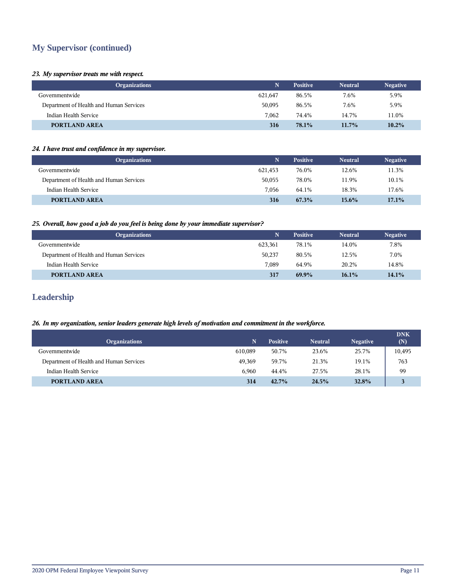# **My Supervisor (continued)**

### *23. My supervisor treats me with respect.*

| <b>Organizations</b>                    | Ñ       | <b>Positive</b> | <b>Neutral</b> | <b>Negative</b> |
|-----------------------------------------|---------|-----------------|----------------|-----------------|
| Governmentwide                          | 621,647 | 86.5%           | 7.6%           | 5.9%            |
| Department of Health and Human Services | 50,095  | 86.5%           | 7.6%           | 5.9%            |
| Indian Health Service                   | 7.062   | 74.4%           | 14.7%          | 11.0%           |
| PORTLAND AREA                           | 316     | 78.1%           | $11.7\%$       | 10.2%           |

### *24. I have trust and confidence in my supervisor.*

| <b>Organizations</b>                    | N       | <b>Positive</b> | <b>Neutral</b> | <b>Negative</b> |
|-----------------------------------------|---------|-----------------|----------------|-----------------|
| Governmentwide                          | 621,453 | 76.0%           | 12.6%          | 11.3%           |
| Department of Health and Human Services | 50,055  | 78.0%           | 11.9%          | 10.1%           |
| Indian Health Service                   | 7.056   | 64.1%           | 18.3%          | 17.6%           |
| PORTLAND AREA                           | 316     | 67.3%           | 15.6%          | 17.1%           |

# *25. Overall, how good a job do you feel is being done by your immediate supervisor?*

| <b>Organizations</b>                    |         | <b>Positive</b> | <b>Neutral</b> | <b>Negative</b> |
|-----------------------------------------|---------|-----------------|----------------|-----------------|
| Governmentwide                          | 623.361 | 78.1%           | 14.0%          | 7.8%            |
| Department of Health and Human Services | 50,237  | 80.5%           | 12.5%          | 7.0%            |
| Indian Health Service                   | 7.089   | 64.9%           | 20.2%          | 14.8%           |
| PORTLAND AREA                           | 317     | 69.9%           | 16.1%          | 14.1%           |

# **Leadership**

## *26. In my organization, senior leaders generate high levels of motivation and commitment in the workforce.*

|                                         |         |                 |                |                 | <b>DNK</b> |
|-----------------------------------------|---------|-----------------|----------------|-----------------|------------|
| <b>Organizations</b>                    |         | <b>Positive</b> | <b>Neutral</b> | <b>Negative</b> | (N)        |
| Governmentwide                          | 610.089 | 50.7%           | 23.6%          | 25.7%           | 10,495     |
| Department of Health and Human Services | 49.369  | 59.7%           | 21.3%          | 19.1%           | 763        |
| Indian Health Service                   | 6.960   | 44.4%           | 27.5%          | 28.1%           | 99         |
| <b>PORTLAND AREA</b>                    | 314     | $42.7\%$        | 24.5%          | 32.8%           |            |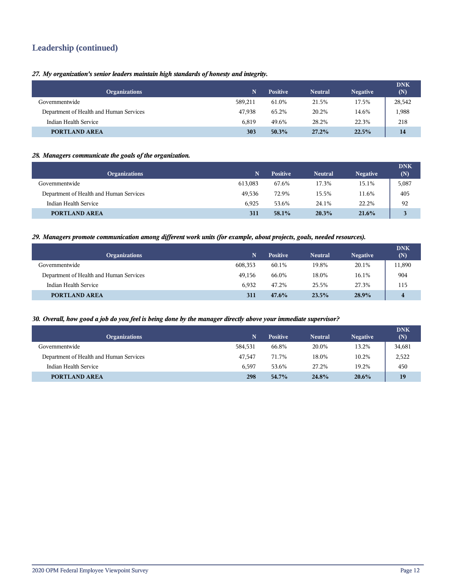# **Leadership (continued)**

*27. My organization's senior leaders maintain high standards of honesty and integrity.*

| <b>Organizations</b>                    | N       | <b>Positive</b> | <b>Neutral</b> | <b>Negative</b> | <b>DNK</b><br>(N) |
|-----------------------------------------|---------|-----------------|----------------|-----------------|-------------------|
| Governmentwide                          | 589.211 | 61.0%           | 21.5%          | 17.5%           | 28,542            |
| Department of Health and Human Services | 47.938  | 65.2%           | 20.2%          | 14.6%           | 1,988             |
| Indian Health Service                   | 6.819   | 49.6%           | 28.2%          | 22.3%           | 218               |
| PORTLAND AREA                           | 303     | 50.3%           | 27.2%          | 22.5%           | 14                |

## *28. Managers communicate the goals of the organization.*

| <b>Organizations</b>                    |         | <b>Positive</b> | <b>Neutral</b> | <b>Negative</b> | <b>DNK</b><br>(N) |
|-----------------------------------------|---------|-----------------|----------------|-----------------|-------------------|
| Governmentwide                          | 613,083 | 67.6%           | 17.3%          | 15.1%           | 5,087             |
| Department of Health and Human Services | 49.536  | 72.9%           | 15.5%          | 11.6%           | 405               |
| Indian Health Service                   | 6.925   | 53.6%           | 24.1%          | 22.2%           | 92                |
| PORTLAND AREA                           | 311     | 58.1%           | 20.3%          | 21.6%           | 3                 |

### *29. Managers promote communication among different work units (for example, about projects, goals, needed resources).*

| <b>Organizations</b>                    |         | <b>Positive</b> | <b>Neutral</b> | <b>Negative</b> | <b>DNK</b><br>(N) |
|-----------------------------------------|---------|-----------------|----------------|-----------------|-------------------|
| Governmentwide                          | 608,353 | 60.1%           | 19.8%          | 20.1%           | 11,890            |
| Department of Health and Human Services | 49,156  | 66.0%           | 18.0%          | 16.1%           | 904               |
| Indian Health Service                   | 6.932   | 47.2%           | 25.5%          | 27.3%           | 115               |
| PORTLAND AREA                           | 311     | 47.6%           | 23.5%          | 28.9%           | 4                 |

### *30. Overall, how good a job do you feel is being done by the manager directly above your immediate supervisor?*

| <b>Organizations</b>                    | N       | <b>Positive</b> | <b>Neutral</b> | <b>Negative</b> | <b>DNK</b><br>(N) |
|-----------------------------------------|---------|-----------------|----------------|-----------------|-------------------|
| Governmentwide                          | 584.531 | 66.8%           | 20.0%          | 13.2%           | 34,681            |
| Department of Health and Human Services | 47.547  | 71.7%           | 18.0%          | 10.2%           | 2,522             |
| Indian Health Service                   | 6.597   | 53.6%           | 27.2%          | 19.2%           | 450               |
| <b>PORTLAND AREA</b>                    | 298     | 54.7%           | 24.8%          | 20.6%           | 19                |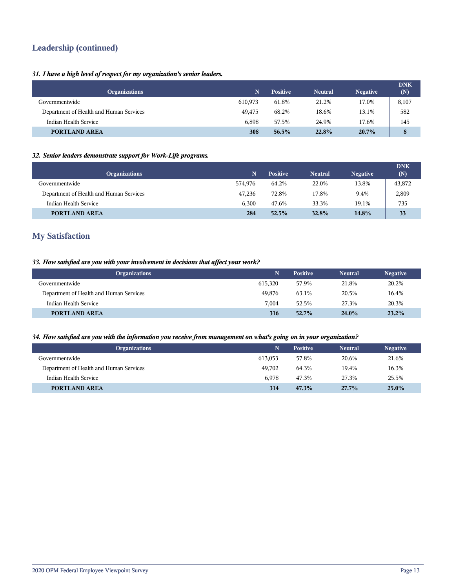# **Leadership (continued)**

# *31. I have a high level of respect for my organization's senior leaders.*

| <b>Organizations</b>                    |         | <b>Positive</b> | <b>Neutral</b> | <b>Negative</b> | <b>DNK</b><br>(N) |
|-----------------------------------------|---------|-----------------|----------------|-----------------|-------------------|
| Governmentwide                          | 610.973 | 61.8%           | 21.2%          | 17.0%           | 8,107             |
| Department of Health and Human Services | 49.475  | 68.2%           | 18.6%          | 13.1%           | 582               |
| Indian Health Service                   | 6.898   | 57.5%           | 24.9%          | 17.6%           | 145               |
| PORTLAND AREA                           | 308     | 56.5%           | 22.8%          | 20.7%           | 8                 |

# *32. Senior leaders demonstrate support for Work-Life programs.*

| <b>Organizations</b>                    | N       | <b>Positive</b> | <b>Neutral</b> | <b>Negative</b> | <b>DNK</b><br>(N) |
|-----------------------------------------|---------|-----------------|----------------|-----------------|-------------------|
| Governmentwide                          | 574.976 | 64.2%           | 22.0%          | 13.8%           | 43,872            |
| Department of Health and Human Services | 47.236  | 72.8%           | 17.8%          | 9.4%            | 2,809             |
| Indian Health Service                   | 6.300   | 47.6%           | 33.3%          | 19.1%           | 735               |
| <b>PORTLAND AREA</b>                    | 284     | 52.5%           | 32.8%          | 14.8%           | 33                |

# **My Satisfaction**

# *33. How satisfied are you with your involvement in decisions that affect your work?*

| <b>Organizations</b>                    |         | <b>Positive</b> | <b>Neutral</b> | <b>Negative</b> |
|-----------------------------------------|---------|-----------------|----------------|-----------------|
| Governmentwide                          | 615,320 | 57.9%           | 21.8%          | 20.2%           |
| Department of Health and Human Services | 49.876  | 63.1%           | 20.5%          | 16.4%           |
| Indian Health Service                   | 7.004   | 52.5%           | 27.3%          | 20.3%           |
| <b>PORTLAND AREA</b>                    | 316     | 52.7%           | 24.0%          | 23.2%           |

### *34. How satisfied are you with the information you receive from management on what's going on in your organization?*

| <b>Organizations</b>                    | N       | <b>Positive</b> | <b>Neutral</b> | <b>Negative</b> |
|-----------------------------------------|---------|-----------------|----------------|-----------------|
| Governmentwide                          | 613.053 | 57.8%           | 20.6%          | 21.6%           |
| Department of Health and Human Services | 49.702  | 64.3%           | 19.4%          | 16.3%           |
| Indian Health Service                   | 6.978   | 47.3%           | 27.3%          | 25.5%           |
| PORTLAND AREA                           | 314     | $47.3\%$        | $27.7\%$       | $25.0\%$        |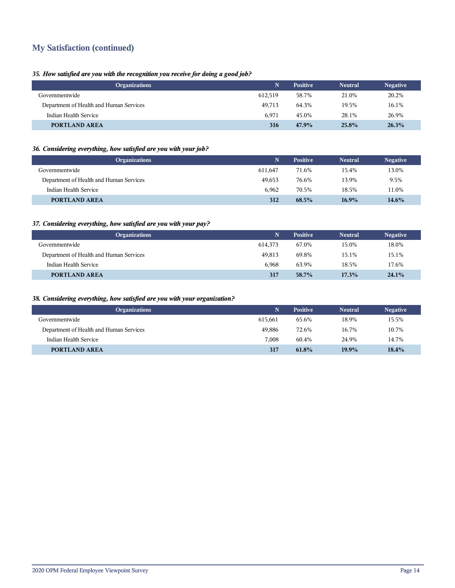# **My Satisfaction (continued)**

# *35. How satisfied are you with the recognition you receive for doing a good job?*

| <b>Organizations</b>                    | N       | <b>Positive</b> | <b>Neutral</b> | <b>Negative</b> |
|-----------------------------------------|---------|-----------------|----------------|-----------------|
| Governmentwide                          | 612.519 | 58.7%           | 21.0%          | 20.2%           |
| Department of Health and Human Services | 49.713  | 64.3%           | 19.5%          | 16.1%           |
| Indian Health Service                   | 6.971   | 45.0%           | 28.1%          | 26.9%           |
| PORTLAND AREA                           | 316     | 47.9%           | 25.8%          | 26.3%           |

# *36. Considering everything, how satisfied are you with your job?*

| <b>Organizations</b>                    |         | <b>Positive</b> | <b>Neutral</b> | <b>Negative</b> |
|-----------------------------------------|---------|-----------------|----------------|-----------------|
| Governmentwide                          | 611,647 | 71.6%           | 15.4%          | 13.0%           |
| Department of Health and Human Services | 49,653  | 76.6%           | 13.9%          | 9.5%            |
| Indian Health Service                   | 6.962   | 70.5%           | 18.5%          | 11.0%           |
| PORTLAND AREA                           | 312     | $68.5\%$        | $16.9\%$       | $14.6\%$        |

# *37. Considering everything, how satisfied are you with your pay?*

| <b>Organizations</b>                    | N       | <b>Positive</b> | <b>Neutral</b> | <b>Negative</b> |
|-----------------------------------------|---------|-----------------|----------------|-----------------|
| Governmentwide                          | 614,373 | 67.0%           | 15.0%          | 18.0%           |
| Department of Health and Human Services | 49.813  | 69.8%           | 15.1%          | 15.1%           |
| Indian Health Service                   | 6.968   | 63.9%           | 18.5%          | 17.6%           |
| PORTLAND AREA                           | 317     | 58.7%           | 17.3%          | 24.1%           |

# *38. Considering everything, how satisfied are you with your organization?*

| <b>Organizations</b>                    |         | <b>Positive</b> | <b>Neutral</b> | <b>Negative</b> |
|-----------------------------------------|---------|-----------------|----------------|-----------------|
| Governmentwide                          | 615.661 | 65.6%           | 18.9%          | 15.5%           |
| Department of Health and Human Services | 49.886  | 72.6%           | 16.7%          | 10.7%           |
| Indian Health Service                   | 7.008   | 60.4%           | 24.9%          | 14.7%           |
| PORTLAND AREA                           | 317     | 61.8%           | 19.9%          | 18.4%           |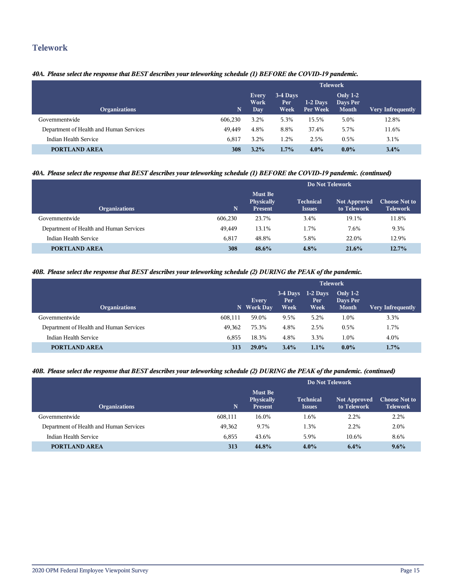# **Telework**

# *40A. Please select the response that BEST describes your teleworking schedule (1) BEFORE the COVID-19 pandemic.*

|                                         |         | <b>Telework</b>                    |                          |                        |                                             |                          |  |
|-----------------------------------------|---------|------------------------------------|--------------------------|------------------------|---------------------------------------------|--------------------------|--|
| <b>Organizations</b>                    | N.      | <b>Every</b><br>Work<br><b>Day</b> | 3-4 Days<br>Per:<br>Week | $1-2$ Days<br>Per Week | <b>Only 1-2</b><br>Days Per<br><b>Month</b> | <b>Very Infrequently</b> |  |
| Governmentwide                          | 606.230 | 3.2%                               | 5.3%                     | 15.5%                  | 5.0%                                        | 12.8%                    |  |
| Department of Health and Human Services | 49.449  | 4.8%                               | 8.8%                     | 37.4%                  | 5.7%                                        | 11.6%                    |  |
| Indian Health Service                   | 6,817   | 3.2%                               | 1.2%                     | 2.5%                   | 0.5%                                        | 3.1%                     |  |
| <b>PORTLAND AREA</b>                    | 308     | 3.2%                               | 1.7%                     | $4.0\%$                | $0.0\%$                                     | $3.4\%$                  |  |

# *40A. Please select the response that BEST describes your teleworking schedule (1) BEFORE the COVID-19 pandemic. (continued)*

|                                         |         | Do Not Telework                                |                                   |                                    |                                         |  |  |
|-----------------------------------------|---------|------------------------------------------------|-----------------------------------|------------------------------------|-----------------------------------------|--|--|
| <b>Organizations</b>                    | 'N.     | <b>Must Be</b><br>Physically<br><b>Present</b> | <b>Technical</b><br><b>Issues</b> | <b>Not Approved</b><br>to Telework | <b>Choose Not to</b><br><b>Telework</b> |  |  |
| Governmentwide                          | 606.230 | 23.7%                                          | 3.4%                              | 19.1%                              | 11.8%                                   |  |  |
| Department of Health and Human Services | 49,449  | 13.1%                                          | 1.7%                              | 7.6%                               | 9.3%                                    |  |  |
| Indian Health Service                   | 6,817   | 48.8%                                          | 5.8%                              | 22.0%                              | 12.9%                                   |  |  |
| PORTLAND AREA                           | 308     | 48.6%                                          | 4.8%                              | 21.6%                              | 12.7%                                   |  |  |

### *40B. Please select the response that BEST describes your teleworking schedule (2) DURING the PEAK of the pandemic.*

|                                         |         | <b>Telework</b>            |                         |                                  |                                        |                          |  |
|-----------------------------------------|---------|----------------------------|-------------------------|----------------------------------|----------------------------------------|--------------------------|--|
| <b>Organizations</b>                    |         | <b>Every</b><br>N Work Day | 3-4 Days<br>Per<br>Week | $1-2$ Days<br>Per<br><b>Week</b> | Only $1-2$<br>Days Per<br><b>Month</b> | <b>Very Infrequently</b> |  |
| Governmentwide                          | 608,111 | 59.0%                      | 9.5%                    | 5.2%                             | 1.0%                                   | 3.3%                     |  |
| Department of Health and Human Services | 49.362  | 75.3%                      | 4.8%                    | 2.5%                             | 0.5%                                   | 1.7%                     |  |
| Indian Health Service                   | 6.855   | 18.3%                      | 4.8%                    | 3.3%                             | 1.0%                                   | 4.0%                     |  |
| PORTLAND AREA                           | 313     | $29.0\%$                   | $3.4\%$                 | 1.1%                             | $0.0\%$                                | 1.7%                     |  |

# *40B. Please select the response that BEST describes your teleworking schedule (2) DURING the PEAK of the pandemic. (continued)*

|                                         |         | Do Not Telework                         |                                         |       |      |  |  |
|-----------------------------------------|---------|-----------------------------------------|-----------------------------------------|-------|------|--|--|
| <b>Organizations</b>                    | N       | Must Be<br>Physically<br><b>Present</b> | <b>Choose Not to</b><br><b>Telework</b> |       |      |  |  |
| Governmentwide                          | 608,111 | 16.0%                                   | 1.6%                                    | 2.2%  | 2.2% |  |  |
| Department of Health and Human Services | 49,362  | 9.7%                                    | 1.3%                                    | 2.2%  | 2.0% |  |  |
| Indian Health Service                   | 6.855   | 43.6%                                   | 5.9%                                    | 10.6% | 8.6% |  |  |
| PORTLAND AREA                           | 313     | 44.8%                                   | $4.0\%$                                 | 6.4%  | 9.6% |  |  |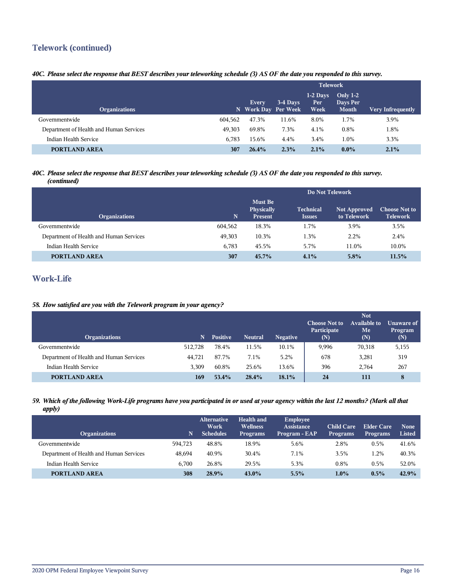# **Telework (continued)**

# *40C. Please select the response that BEST describes your teleworking schedule (3) AS OF the date you responded to this survey.*

|                                         |         | <b>Telework</b>              |          |                            |                                             |                          |
|-----------------------------------------|---------|------------------------------|----------|----------------------------|---------------------------------------------|--------------------------|
| <b>Organizations</b>                    |         | Every<br>N Work Day Per Week | 3-4 Days | $1-2$ Days<br>Per:<br>Week | <b>Only 1-2</b><br>Days Per<br><b>Month</b> | <b>Very Infrequently</b> |
| Governmentwide                          | 604.562 | 47.3%                        | 11.6%    | 8.0%                       | 1.7%                                        | 3.9%                     |
| Department of Health and Human Services | 49.303  | 69.8%                        | 7.3%     | 4.1%                       | 0.8%                                        | 1.8%                     |
| Indian Health Service                   | 6.783   | 15.6%                        | 4.4%     | 3.4%                       | 1.0%                                        | 3.3%                     |
| PORTLAND AREA                           | 307     | 26.4%                        | 2.3%     | 2.1%                       | $0.0\%$                                     | 2.1%                     |

### *40C. Please select the response that BEST describes your teleworking schedule (3) AS OF the date you responded to this survey. (continued)*

|                                         |         | Do Not Telework                                |                                   |                                    |                                         |  |  |
|-----------------------------------------|---------|------------------------------------------------|-----------------------------------|------------------------------------|-----------------------------------------|--|--|
| <b>Organizations</b>                    | N.      | <b>Must Be</b><br>Physically<br><b>Present</b> | <b>Technical</b><br><b>Issues</b> | <b>Not Approved</b><br>to Telework | <b>Choose Not to</b><br><b>Telework</b> |  |  |
| Governmentwide                          | 604.562 | 18.3%                                          | 1.7%                              | 3.9%                               | 3.5%                                    |  |  |
| Department of Health and Human Services | 49,303  | 10.3%                                          | 1.3%                              | 2.2%                               | 2.4%                                    |  |  |
| Indian Health Service                   | 6.783   | 45.5%                                          | 5.7%                              | 11.0%                              | 10.0%                                   |  |  |
| <b>PORTLAND AREA</b>                    | 307     | 45.7%                                          | 4.1%                              | 5.8%                               | 11.5%                                   |  |  |

# **Work-Life**

# *58. How satisfied are you with the Telework program in your agency?*

| <b>Organizations</b>                    | N       | <b>Positive</b> | <b>Neutral</b> | <b>Negative</b> | <b>Choose Not to</b><br>Participate<br>(N) | <b>Not</b><br>Available to<br>Me<br>(N) | Unaware of<br>Program<br>(N) |
|-----------------------------------------|---------|-----------------|----------------|-----------------|--------------------------------------------|-----------------------------------------|------------------------------|
| Governmentwide                          | 512.728 | 78.4%           | 11.5%          | 10.1%           | 9,996                                      | 70,318                                  | 5,155                        |
| Department of Health and Human Services | 44,721  | 87.7%           | 7.1%           | 5.2%            | 678                                        | 3,281                                   | 319                          |
| Indian Health Service                   | 3.309   | 60.8%           | 25.6%          | 13.6%           | 396                                        | 2.764                                   | 267                          |
| PORTLAND AREA                           | 169     | 53.4%           | 28.4%          | 18.1%           | 24                                         | 111                                     | 8                            |

## *59. Which of the following Work-Life programs have you participated in or used at your agency within the last 12 months? (Mark all that apply)*

| <b>Organizations</b>                    | N       | <b>Alternative</b><br>Work<br><b>Schedules</b> | <b>Health and</b><br><b>Wellness</b><br><b>Programs</b> | <b>Employee</b><br><b>Assistance</b><br>Program - EAP | <b>Child Care</b><br><b>Programs</b> | Elder Care<br><b>Programs</b> | <b>None</b><br><b>Listed</b> |
|-----------------------------------------|---------|------------------------------------------------|---------------------------------------------------------|-------------------------------------------------------|--------------------------------------|-------------------------------|------------------------------|
| Governmentwide                          | 594.723 | 48.8%                                          | 18.9%                                                   | 5.6%                                                  | 2.8%                                 | 0.5%                          | 41.6%                        |
| Department of Health and Human Services | 48.694  | 40.9%                                          | 30.4%                                                   | 7.1%                                                  | 3.5%                                 | 1.2%                          | 40.3%                        |
| Indian Health Service                   | 6.700   | 26.8%                                          | 29.5%                                                   | 5.3%                                                  | 0.8%                                 | 0.5%                          | 52.0%                        |
| PORTLAND AREA                           | 308     | 28.9%                                          | $43.0\%$                                                | 5.5%                                                  | $1.0\%$                              | $0.5\%$                       | 42.9%                        |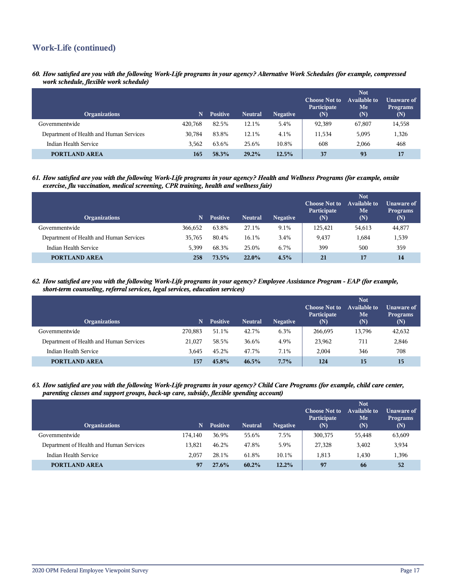# **Work-Life (continued)**

*60. How satisfied are you with the following Work-Life programs in your agency? Alternative Work Schedules (for example, compressed work schedule, flexible work schedule)*

| <b>Organizations</b>                    | N       | <b>Positive</b> | <b>Neutral</b> | <b>Negative</b> | <b>Choose Not to</b><br>Participate<br>(N) | <b>Not</b><br><b>Available to</b><br>Me<br>(N) | Unaware of<br><b>Programs</b><br>(N) |
|-----------------------------------------|---------|-----------------|----------------|-----------------|--------------------------------------------|------------------------------------------------|--------------------------------------|
| Governmentwide                          | 420,768 | 82.5%           | 12.1%          | 5.4%            | 92,389                                     | 67,807                                         | 14,558                               |
| Department of Health and Human Services | 30.784  | 83.8%           | 12.1%          | 4.1%            | 11,534                                     | 5,095                                          | 1,326                                |
| Indian Health Service                   | 3.562   | 63.6%           | 25.6%          | 10.8%           | 608                                        | 2,066                                          | 468                                  |
| <b>PORTLAND AREA</b>                    | 165     | 58.3%           | 29.2%          | 12.5%           | 37                                         | 93                                             | 17                                   |

*61. How satisfied are you with the following Work-Life programs in your agency? Health and Wellness Programs (for example, onsite exercise, flu vaccination, medical screening, CPR training, health and wellness fair)*

| <b>Organizations</b>                    | N.      | <b>Positive</b> | <b>Neutral</b> | <b>Negative</b> | <b>Choose Not to</b><br>Participate<br>(N) | <b>Not</b><br>Available to<br>Me<br>(N) | <b>Unaware of</b><br><b>Programs</b><br>(N) |
|-----------------------------------------|---------|-----------------|----------------|-----------------|--------------------------------------------|-----------------------------------------|---------------------------------------------|
| Governmentwide                          | 366.652 | 63.8%           | 27.1%          | 9.1%            | 125,421                                    | 54,613                                  | 44,877                                      |
| Department of Health and Human Services | 35,765  | 80.4%           | 16.1%          | 3.4%            | 9,437                                      | 1,684                                   | 1,539                                       |
| Indian Health Service                   | 5.399   | 68.3%           | 25.0%          | 6.7%            | 399                                        | 500                                     | 359                                         |
| PORTLAND AREA                           | 258     | 73.5%           | 22.0%          | 4.5%            | 21                                         | 17                                      | 14                                          |

*62. How satisfied are you with the following Work-Life programs in your agency? Employee Assistance Program - EAP (for example, short-term counseling, referral services, legal services, education services)*

| <b>Organizations</b>                    | N       | <b>Positive</b> | <b>Neutral</b> | <b>Negative</b> | <b>Choose Not to</b><br>Participate<br>(N) | <b>Not</b><br>Available to<br>Me<br>(N) | Unaware of<br><b>Programs</b><br>(N) |
|-----------------------------------------|---------|-----------------|----------------|-----------------|--------------------------------------------|-----------------------------------------|--------------------------------------|
| Governmentwide                          | 270.883 | 51.1%           | 42.7%          | 6.3%            | 266,695                                    | 13,796                                  | 42,632                               |
| Department of Health and Human Services | 21,027  | 58.5%           | 36.6%          | 4.9%            | 23,962                                     | 711                                     | 2,846                                |
| Indian Health Service                   | 3.645   | 45.2%           | 47.7%          | 7.1%            | 2.004                                      | 346                                     | 708                                  |
| PORTLAND AREA                           | 157     | $45.8\%$        | 46.5%          | $7.7\%$         | 124                                        | 15                                      | 15                                   |

*63. How satisfied are you with the following Work-Life programs in your agency? Child Care Programs (for example, child care center, parenting classes and support groups, back-up care, subsidy, flexible spending account)*

| <b>Organizations</b>                    | N       | <b>Positive</b> | <b>Neutral</b> | <b>Negative</b> | <b>Choose Not to</b><br>Participate<br>(N) | <b>Not</b><br><b>Available to</b><br>Me<br>(N) | Unaware of<br><b>Programs</b><br>(N) |
|-----------------------------------------|---------|-----------------|----------------|-----------------|--------------------------------------------|------------------------------------------------|--------------------------------------|
| Governmentwide                          | 174.140 | 36.9%           | 55.6%          | 7.5%            | 300,375                                    | 55,448                                         | 63,609                               |
| Department of Health and Human Services | 13.821  | 46.2%           | 47.8%          | 5.9%            | 27,328                                     | 3,402                                          | 3,934                                |
| Indian Health Service                   | 2.057   | 28.1%           | 61.8%          | 10.1%           | 1.813                                      | 1,430                                          | 1,396                                |
| PORTLAND AREA                           | 97      | 27.6%           | 60.2%          | 12.2%           | 97                                         | 66                                             | 52                                   |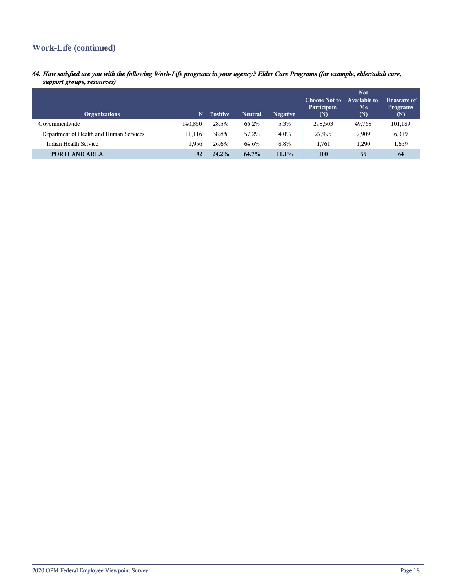# **Work-Life (continued)**

*64. How satisfied are you with the following Work-Life programs in your agency? Elder Care Programs (for example, elder/adult care, support groups, resources)*

| <b>Organizations</b>                    | N       | <b>Positive</b> | <b>Neutral</b> | <b>Negative</b> | <b>Choose Not to</b><br>Participate<br>(N) | <b>Not</b><br>Available to<br>Me<br>(N) | Unaware of<br><b>Programs</b><br>(N) |
|-----------------------------------------|---------|-----------------|----------------|-----------------|--------------------------------------------|-----------------------------------------|--------------------------------------|
| Governmentwide                          | 140.850 | 28.5%           | 66.2%          | 5.3%            | 298,503                                    | 49,768                                  | 101,189                              |
| Department of Health and Human Services | 11.116  | 38.8%           | 57.2%          | 4.0%            | 27,995                                     | 2,909                                   | 6,319                                |
| Indian Health Service                   | 1.956   | 26.6%           | 64.6%          | 8.8%            | 1,761                                      | 1,290                                   | 1,659                                |
| PORTLAND AREA                           | 92      | 24.2%           | 64.7%          | $11.1\%$        | 100                                        | 55                                      | 64                                   |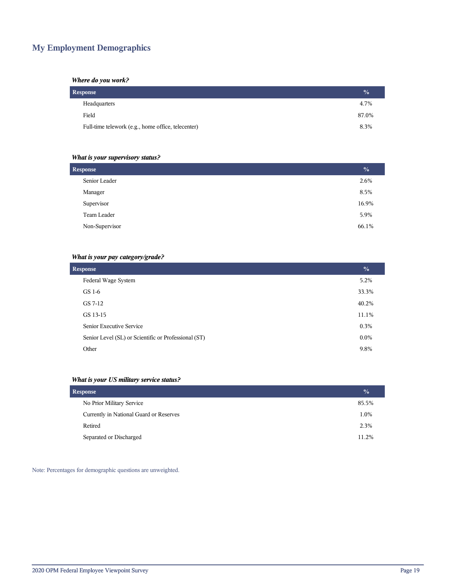# **My Employment Demographics**

# *Where do you work?*

| Response                                           | $\frac{0}{2}$ |
|----------------------------------------------------|---------------|
| Headquarters                                       | 4.7%          |
| Field                                              | 87.0%         |
| Full-time telework (e.g., home office, telecenter) | 8.3%          |

# *What is your supervisory status?*

| <b>Response</b> | $\frac{0}{0}$ |
|-----------------|---------------|
| Senior Leader   | 2.6%          |
| Manager         | 8.5%          |
| Supervisor      | 16.9%         |
| Team Leader     | 5.9%          |
| Non-Supervisor  | 66.1%         |
|                 |               |

# *What is your pay category/grade?*

| <b>Response</b>                                      | $\frac{0}{0}$ |
|------------------------------------------------------|---------------|
| Federal Wage System                                  | 5.2%          |
| GS 1-6                                               | 33.3%         |
| GS 7-12                                              | 40.2%         |
| GS 13-15                                             | 11.1%         |
| Senior Executive Service                             | 0.3%          |
| Senior Level (SL) or Scientific or Professional (ST) | $0.0\%$       |
| Other                                                | 9.8%          |

# *What is your US military service status?*

| <b>Response</b>                         | $\sqrt{6}$ |
|-----------------------------------------|------------|
| No Prior Military Service               | 85.5%      |
| Currently in National Guard or Reserves | 1.0%       |
| Retired                                 | 2.3%       |
| Separated or Discharged                 | 11.2%      |

Note: Percentages for demographic questions are unweighted.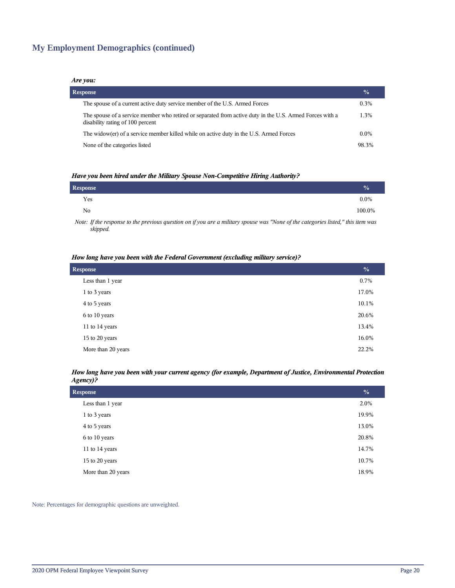# **My Employment Demographics (continued)**

### *Are you:*

| <b>Response</b> |                                                                                                                                              | $\frac{0}{0}$ |
|-----------------|----------------------------------------------------------------------------------------------------------------------------------------------|---------------|
|                 | The spouse of a current active duty service member of the U.S. Armed Forces                                                                  | $0.3\%$       |
|                 | The spouse of a service member who retired or separated from active duty in the U.S. Armed Forces with a<br>disability rating of 100 percent | 1.3%          |
|                 | The widow(er) of a service member killed while on active duty in the U.S. Armed Forces                                                       | $0.0\%$       |
|                 | None of the categories listed                                                                                                                | 98.3%         |

### *Have you been hired under the Military Spouse Non-Competitive Hiring Authority?*

| Response |                                                                                                                 |  |       |  |   | $\frac{0}{0}$ |
|----------|-----------------------------------------------------------------------------------------------------------------|--|-------|--|---|---------------|
| Yes      |                                                                                                                 |  |       |  |   | $0.0\%$       |
| No       |                                                                                                                 |  |       |  |   | 100.0%        |
|          | the contract of the contract of the contract of the contract of the contract of the contract of the contract of |  | $  -$ |  | . |               |

*Note: If the response to the previous question on if you are a military spouse was "None of the categories listed," this item was skipped.*

### *How long have you been with the Federal Government (excluding military service)?*

| <b>Response</b>    | $\frac{0}{0}$ |
|--------------------|---------------|
| Less than 1 year   | 0.7%          |
| 1 to 3 years       | 17.0%         |
| 4 to 5 years       | 10.1%         |
| 6 to 10 years      | 20.6%         |
| 11 to 14 years     | 13.4%         |
| 15 to 20 years     | 16.0%         |
| More than 20 years | 22.2%         |

## *How long have you been with your current agency (for example, Department of Justice, Environmental Protection Agency)?*

| <b>Response</b>    | $\frac{0}{0}$ |
|--------------------|---------------|
| Less than 1 year   | 2.0%          |
| 1 to 3 years       | 19.9%         |
| 4 to 5 years       | 13.0%         |
| 6 to 10 years      | 20.8%         |
| 11 to 14 years     | 14.7%         |
| 15 to 20 years     | 10.7%         |
| More than 20 years | 18.9%         |

Note: Percentages for demographic questions are unweighted.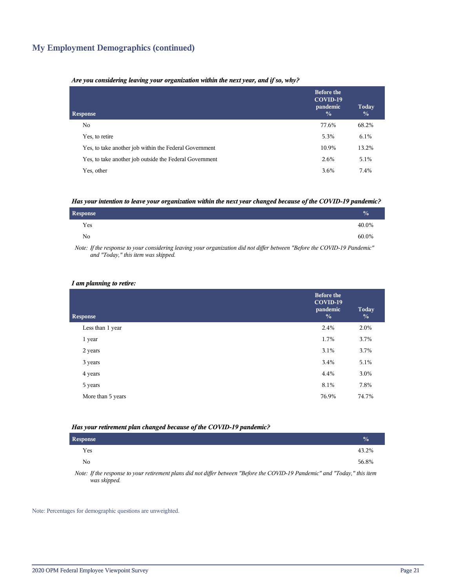# **My Employment Demographics (continued)**

### *Are you considering leaving your organization within the next year, and if so, why?*

| <b>Response</b>                                         | <b>Before the</b><br>COVID-19<br>pandemic<br>$\frac{0}{0}$ | Today<br>$\frac{0}{0}$ |
|---------------------------------------------------------|------------------------------------------------------------|------------------------|
| No.                                                     | 77.6%                                                      | 68.2%                  |
| Yes, to retire                                          | 5.3%                                                       | 6.1%                   |
| Yes, to take another job within the Federal Government  | 10.9%                                                      | 13.2%                  |
| Yes, to take another job outside the Federal Government | 2.6%                                                       | 5.1%                   |
| Yes, other                                              | 3.6%                                                       | 7.4%                   |

### *Has your intention to leave your organization within the next year changed because of the COVID-19 pandemic?*

| Response | $\frac{0}{0}$ |  |
|----------|---------------|--|
| Yes      | 40.0%         |  |
| No       | 60.0%         |  |

*Note: If the response to your considering leaving your organization did not differ between "Before the COVID-19 Pandemic" and "Today," this item was skipped.*

### *I am planning to retire:*

| <b>Response</b>   | <b>Before the</b><br>COVID-19<br>pandemic<br>$\frac{0}{0}$ | Today<br>$\frac{0}{0}$ |
|-------------------|------------------------------------------------------------|------------------------|
| Less than 1 year  | 2.4%                                                       | 2.0%                   |
| 1 year            | 1.7%                                                       | 3.7%                   |
| 2 years           | 3.1%                                                       | 3.7%                   |
| 3 years           | 3.4%                                                       | 5.1%                   |
| 4 years           | 4.4%                                                       | 3.0%                   |
| 5 years           | 8.1%                                                       | 7.8%                   |
| More than 5 years | 76.9%                                                      | 74.7%                  |
|                   |                                                            |                        |

### *Has your retirement plan changed because of the COVID-19 pandemic?*

| Response     |  |  |  |  |                                                                                                                                                           |  | $\frac{0}{2}$ |
|--------------|--|--|--|--|-----------------------------------------------------------------------------------------------------------------------------------------------------------|--|---------------|
| Yes          |  |  |  |  |                                                                                                                                                           |  | 43.2%         |
| No           |  |  |  |  |                                                                                                                                                           |  | 56.8%         |
| $\mathbf{v}$ |  |  |  |  | $\mathcal{L}$ , and $\mathcal{L}$ , and $\mathcal{L}$ , and $\mathcal{L}$ , and $\mathcal{L}$ , and $\mathcal{L}$ , and $\mathcal{L}$ , and $\mathcal{L}$ |  |               |

*Note: If the response to your retirement plans did not differ between "Before the COVID-19 Pandemic" and "Today," this item was skipped.*

Note: Percentages for demographic questions are unweighted.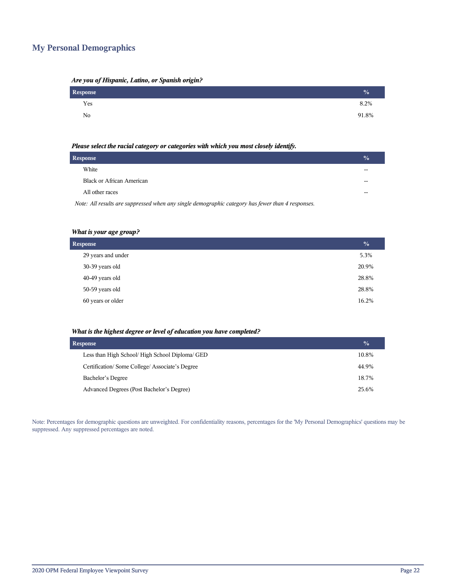# **My Personal Demographics**

| Are you of Hispanic, Latino, or Spanish origin? |  |  |
|-------------------------------------------------|--|--|
|                                                 |  |  |

| Response | $\frac{0}{0}$ |
|----------|---------------|
| Yes      | 8.2%          |
| No       | 91.8%         |

### *Please select the racial category or categories with which you most closely identify.*

| Response                                                                                          | $\frac{1}{2}$ |
|---------------------------------------------------------------------------------------------------|---------------|
| White                                                                                             | --            |
| <b>Black or African American</b>                                                                  | --            |
| All other races                                                                                   | --            |
| Note: All results are suppressed when any single demographic category has fewer than 4 responses. |               |

# *What is your age group?*

| <b>Response</b>    | $\frac{0}{0}$ |
|--------------------|---------------|
| 29 years and under | 5.3%          |
| 30-39 years old    | 20.9%         |
| 40-49 years old    | 28.8%         |
| 50-59 years old    | 28.8%         |
| 60 years or older  | 16.2%         |

# *What is the highest degree or level of education you have completed?*

| <b>Response</b>                                 | $\frac{0}{0}$ |
|-------------------------------------------------|---------------|
| Less than High School/ High School Diploma/ GED | 10.8%         |
| Certification/Some College/Associate's Degree   | 44.9%         |
| Bachelor's Degree                               | 18.7%         |
| Advanced Degrees (Post Bachelor's Degree)       | 25.6%         |

Note: Percentages for demographic questions are unweighted. For confidentiality reasons, percentages for the 'My Personal Demographics' questions may be suppressed. Any suppressed percentages are noted.